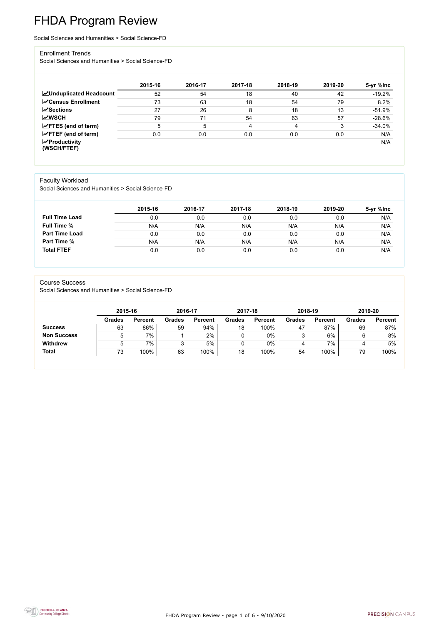FHDA Program Review - page 1 of 6 - 9/10/2020



# FHDA Program Review

Social Sciences and Humanities > Social Science-FD

#### Enrollment Trends

Social Sciences and Humanities > Social Science-FD

|                                          | 2015-16 | 2016-17 | 2017-18 | 2018-19 | 2019-20 | 5-yr %lnc |
|------------------------------------------|---------|---------|---------|---------|---------|-----------|
| <b>MUnduplicated Headcount</b>           | 52      | 54      | 18      | 40      | 42      | $-19.2%$  |
| <b>ZCensus Enrollment</b>                | 73      | 63      | 18      | 54      | 79      | 8.2%      |
| <b>ZSections</b>                         | 27      | 26      | 8       | 18      | 13      | $-51.9%$  |
| <b>MWSCH</b>                             | 79      | 71      | 54      | 63      | 57      | $-28.6%$  |
| $\angle$ FTES (end of term)              | 5       | 5       | 4       | 4       | 3       | $-34.0%$  |
| $\angle$ FTEF (end of term)              | 0.0     | 0.0     | 0.0     | 0.0     | 0.0     | N/A       |
| $\mathbf{Z}$ Productivity<br>(WSCH/FTEF) |         |         |         |         |         | N/A       |

### Faculty Workload

Social Sciences and Humanities > Social Science-FD

|                       | 2015-16 | 2016-17 | 2017-18 | 2018-19 | 2019-20 | 5-yr %lnc |
|-----------------------|---------|---------|---------|---------|---------|-----------|
| <b>Full Time Load</b> | 0.0     | 0.0     | 0.0     | 0.0     | 0.0     | N/A       |
| <b>Full Time %</b>    | N/A     | N/A     | N/A     | N/A     | N/A     | N/A       |
| <b>Part Time Load</b> | 0.0     | 0.0     | 0.0     | 0.0     | 0.0     | N/A       |
| <b>Part Time %</b>    | N/A     | N/A     | N/A     | N/A     | N/A     | N/A       |
| <b>Total FTEF</b>     | 0.0     | 0.0     | 0.0     | 0.0     | 0.0     | N/A       |

#### Course Success

Social Sciences and Humanities > Social Science-FD

|                    | 2015-16       |                | 2016-17       |                | 2017-18       |                | 2018-19       |                | 2019-20       |                |
|--------------------|---------------|----------------|---------------|----------------|---------------|----------------|---------------|----------------|---------------|----------------|
|                    | <b>Grades</b> | <b>Percent</b> | <b>Grades</b> | <b>Percent</b> | <b>Grades</b> | <b>Percent</b> | <b>Grades</b> | <b>Percent</b> | <b>Grades</b> | <b>Percent</b> |
| <b>Success</b>     | 63            | 86%            | 59            | 94%            | 18            | 100%           | 47            | 87%            | 69            | 87%            |
| <b>Non Success</b> |               | 7%             |               | 2%             |               | $0\%$          | J             | 6%             |               | 8%             |
| <b>Withdrew</b>    |               | 7%             |               | 5%             |               | $0\%$          | 4             | 7%             | 4             | 5%             |
| <b>Total</b>       | 73            | 100%           | 63            | 100%           | 18            | 100%           | 54            | 100%           | 79            | 100%           |

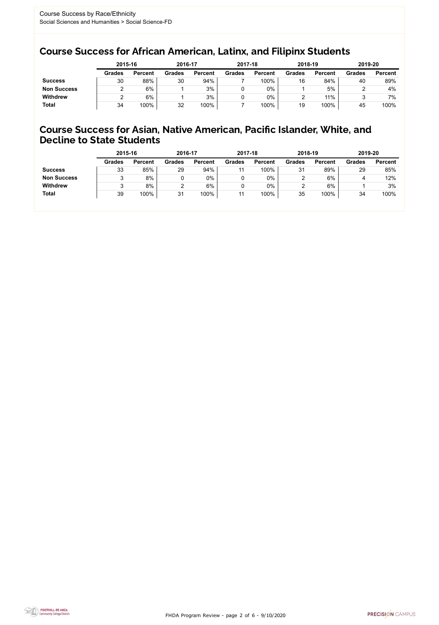FHDA Program Review - page 2 of 6 - 9/10/2020



## Course Success for African American, Latinx, and Filipinx Students

### Course Success for Asian, Native American, Pacific Islander, White, and Decline to State Students

|                    |               | 2015-16        |               | 2016-17        |               | 2017-18        | 2018-19       |                | 2019-20       |                |
|--------------------|---------------|----------------|---------------|----------------|---------------|----------------|---------------|----------------|---------------|----------------|
|                    | <b>Grades</b> | <b>Percent</b> | <b>Grades</b> | <b>Percent</b> | <b>Grades</b> | <b>Percent</b> | <b>Grades</b> | <b>Percent</b> | <b>Grades</b> | <b>Percent</b> |
| <b>Success</b>     | 30            | 88%            | 30            | 94%            |               | 100%           | 16            | 84%            | 40            | 89%            |
| <b>Non Success</b> |               | 6%             |               | 3%             |               | $0\%$          |               | 5%             |               | 4%             |
| <b>Withdrew</b>    |               | 6%             |               | 3%             |               | $0\%$          |               | 11%            |               | 7%             |
| <b>Total</b>       | 34            | 100%           | 32            | 100%           |               | 100%           | 19            | 100%           | 45            | 100%           |

|                    | 2015-16       |                | 2016-17       |                | 2017-18       |                | 2018-19       |                | 2019-20       |                |
|--------------------|---------------|----------------|---------------|----------------|---------------|----------------|---------------|----------------|---------------|----------------|
|                    | <b>Grades</b> | <b>Percent</b> | <b>Grades</b> | <b>Percent</b> | <b>Grades</b> | <b>Percent</b> | <b>Grades</b> | <b>Percent</b> | <b>Grades</b> | <b>Percent</b> |
| <b>Success</b>     | 33            | 85%            | 29            | 94%            |               | 100%           | 31            | 89%            | 29            | 85%            |
| <b>Non Success</b> |               | 8%             |               | 0%             |               | $0\%$          |               | 6%             | 4             | 12%            |
| <b>Withdrew</b>    |               | 8%             |               | 6%             |               | $0\%$          |               | $6\%$          |               | 3%             |
| <b>Total</b>       | 39            | 100%           | 31            | 100%           |               | 100%           | 35            | 100%           | 34            | 100%           |
|                    |               |                |               |                |               |                |               |                |               |                |

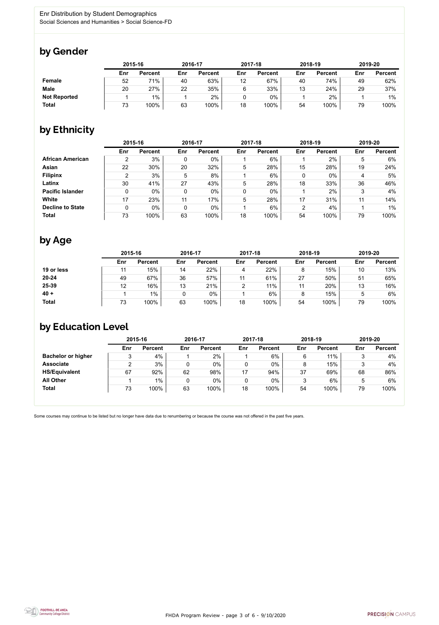FHDA Program Review - page 3 of 6 - 9/10/2020



Some courses may continue to be listed but no longer have data due to renumbering or because the course was not offered in the past five years.



# by Gender

|                     | 2015-16 |                |     | 2016-17        |     | 2017-18        |     | 2018-19        | 2019-20 |                |
|---------------------|---------|----------------|-----|----------------|-----|----------------|-----|----------------|---------|----------------|
|                     | Enr     | <b>Percent</b> | Enr | <b>Percent</b> | Enr | <b>Percent</b> | Enr | <b>Percent</b> | Enr     | <b>Percent</b> |
| <b>Female</b>       | 52      | 71%            | 40  | 63%            | 12  | 67%            | 40  | 74%            | 49      | 62%            |
| <b>Male</b>         | 20      | 27%            | 22  | 35%            | 6   | 33%            | 13  | 24%            | 29      | 37%            |
| <b>Not Reported</b> |         | $1\%$          |     | 2%             |     | $0\%$          |     | 2%             |         | $1\%$          |
| <b>Total</b>        | 73      | 100%           | 63  | 100%           | 18  | 100%           | 54  | 100%           | 79      | 100%           |

# by Ethnicity

|                         |               | 2015-16        |     | 2016-17        |     | 2017-18        | 2018-19        |                | 2019-20 |                |
|-------------------------|---------------|----------------|-----|----------------|-----|----------------|----------------|----------------|---------|----------------|
|                         | Enr           | <b>Percent</b> | Enr | <b>Percent</b> | Enr | <b>Percent</b> | Enr            | <b>Percent</b> | Enr     | <b>Percent</b> |
| <b>African American</b> | 2             | 3%             | 0   | $0\%$          |     | $6\%$          |                | 2%             | 5       | 6%             |
| Asian                   | 22            | 30%            | 20  | 32%            | 5   | 28%            | 15             | 28%            | 19      | 24%            |
| <b>Filipinx</b>         | $\mathcal{P}$ | 3%             | 5   | 8%             |     | 6%             | 0              | $0\%$          | 4       | 5%             |
| Latinx                  | 30            | 41%            | 27  | 43%            | 5   | 28%            | 18             | 33%            | 36      | 46%            |
| <b>Pacific Islander</b> |               | $0\%$          |     | $0\%$          | 0   | $0\%$          |                | 2%             |         | 4%             |
| White                   | 17            | 23%            | 11  | 17%            | 5   | 28%            | 17             | 31%            | 11      | 14%            |
| <b>Decline to State</b> | 0             | $0\%$          | 0   | $0\%$          |     | 6%             | $\overline{2}$ | 4%             |         | $1\%$          |
| <b>Total</b>            | 73            | 100%           | 63  | 100%           | 18  | 100%           | 54             | 100%           | 79      | 100%           |

# by Age

|              | 2015-16 |                |     | 2016-17        |     | 2017-18        |     | 2018-19        | 2019-20 |                |
|--------------|---------|----------------|-----|----------------|-----|----------------|-----|----------------|---------|----------------|
|              | Enr     | <b>Percent</b> | Enr | <b>Percent</b> | Enr | <b>Percent</b> | Enr | <b>Percent</b> | Enr     | <b>Percent</b> |
| 19 or less   |         | 15%            | 14  | 22%            |     | 22%            | 8   | 15%            | 10      | 13%            |
| $20 - 24$    | 49      | 67%            | 36  | 57%            | 11  | 61%            | 27  | 50%            | 51      | 65%            |
| 25-39        | 12      | 16%            | 13  | 21%            | C   | 11%            | 11  | 20%            | 13      | 16%            |
| $40 +$       |         | $1\%$          |     | 0%             |     | 6%             | 8   | 15%            |         | 6%             |
| <b>Total</b> | 73      | 100%           | 63  | 100%           | 18  | 100%           | 54  | 100%           | 79      | 100%           |

# by Education Level

|                           | 2015-16 |                |     | 2016-17        |     | 2017-18        | 2018-19 |                | 2019-20 |                |
|---------------------------|---------|----------------|-----|----------------|-----|----------------|---------|----------------|---------|----------------|
|                           | Enr     | <b>Percent</b> | Enr | <b>Percent</b> | Enr | <b>Percent</b> | Enr     | <b>Percent</b> | Enr     | <b>Percent</b> |
| <b>Bachelor or higher</b> | 2<br>ບ  | 4%             |     | 2%             |     | 6%             |         | 11%            |         | 4%             |
| <b>Associate</b>          |         | 3%             |     | $0\%$          |     | 0%             |         | 15%            |         | 4%             |
| <b>HS/Equivalent</b>      | 67      | 92%            | 62  | 98%            | 17  | 94%            | 37      | 69%            | 68      | 86%            |
| <b>All Other</b>          |         | $1\%$          |     | 0%             |     | 0%             |         | 6%             |         | 6%             |
| <b>Total</b>              | 73      | 100%           | 63  | 100%           | 18  | 100%           | 54      | 100%           | 79      | 100%           |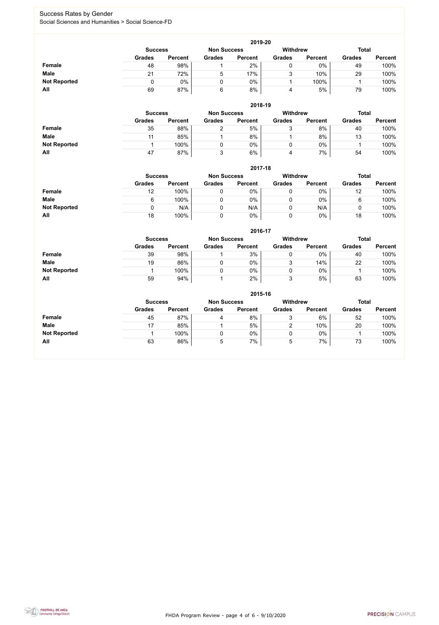FHDA Program Review - page 4 of 6 - 9/10/2020



### Success Rates by Gender Social Sciences and Humanities > Social Science-FD

|                     | 2019-20                                                                 |                |                 |                |               |                |               |                |  |  |  |  |  |
|---------------------|-------------------------------------------------------------------------|----------------|-----------------|----------------|---------------|----------------|---------------|----------------|--|--|--|--|--|
|                     | <b>Withdrew</b><br><b>Total</b><br><b>Non Success</b><br><b>Success</b> |                |                 |                |               |                |               |                |  |  |  |  |  |
|                     | <b>Grades</b>                                                           | <b>Percent</b> | <b>Grades</b>   | <b>Percent</b> | <b>Grades</b> | <b>Percent</b> | <b>Grades</b> | <b>Percent</b> |  |  |  |  |  |
| <b>Female</b>       | 48                                                                      | 98%            |                 | 2%             | U             | $0\%$          | 49            | 100%           |  |  |  |  |  |
| <b>Male</b>         | 21                                                                      | 72%            | $5\phantom{.0}$ | 17%            | ັ             | 10%            | 29            | 100%           |  |  |  |  |  |
| <b>Not Reported</b> |                                                                         | 0%             |                 | 0%             |               | 100%           |               | 100%           |  |  |  |  |  |
| All                 | 69                                                                      | 87%            | 6               | 8%             | 4             | 5%             | 79            | 100%           |  |  |  |  |  |

|                     | 2018-19       |                                                         |               |                |               |                |               |                |  |  |  |  |
|---------------------|---------------|---------------------------------------------------------|---------------|----------------|---------------|----------------|---------------|----------------|--|--|--|--|
|                     |               | <b>Withdrew</b><br><b>Non Success</b><br><b>Success</b> |               |                |               |                |               |                |  |  |  |  |
|                     | <b>Grades</b> | <b>Percent</b>                                          | <b>Grades</b> | <b>Percent</b> | <b>Grades</b> | <b>Percent</b> | <b>Grades</b> | <b>Percent</b> |  |  |  |  |
| <b>Female</b>       | 35            | 88%                                                     |               | 5%             | ັ             | 8%             | 40            | 100%           |  |  |  |  |
| <b>Male</b>         | 11            | 85%                                                     |               | 8%             |               | 8%             | 13            | 100%           |  |  |  |  |
| <b>Not Reported</b> |               | 100%                                                    |               | 0%             | 0             | 0%             |               | 100%           |  |  |  |  |
| All                 | 47            | 87%                                                     |               | 6%             | 4             | 7%             | 54            | 100%           |  |  |  |  |

|                     |               | 2017-18                                                                 |               |                |               |                |               |                |  |  |  |  |  |
|---------------------|---------------|-------------------------------------------------------------------------|---------------|----------------|---------------|----------------|---------------|----------------|--|--|--|--|--|
|                     |               | <b>Withdrew</b><br><b>Total</b><br><b>Non Success</b><br><b>Success</b> |               |                |               |                |               |                |  |  |  |  |  |
|                     | <b>Grades</b> | <b>Percent</b>                                                          | <b>Grades</b> | <b>Percent</b> | <b>Grades</b> | <b>Percent</b> | <b>Grades</b> | <b>Percent</b> |  |  |  |  |  |
| <b>Female</b>       | 12            | 100%                                                                    |               | 0%             |               | $0\%$          | 12            | 100%           |  |  |  |  |  |
| <b>Male</b>         | 6             | 100%                                                                    |               | 0%             |               | $0\%$          | 6             | 100%           |  |  |  |  |  |
| <b>Not Reported</b> | 0             | N/A                                                                     | 0             | N/A            |               | N/A            | υ             | 100%           |  |  |  |  |  |
| All                 | 18            | 100%                                                                    | 0             | 0%             | 0             | 0%             | 18            | 100%           |  |  |  |  |  |

|                     |                | 2016-17        |                    |                |                 |                |               |                |  |  |
|---------------------|----------------|----------------|--------------------|----------------|-----------------|----------------|---------------|----------------|--|--|
|                     | <b>Success</b> |                | <b>Non Success</b> |                | <b>Withdrew</b> |                | <b>Total</b>  |                |  |  |
|                     | <b>Grades</b>  | <b>Percent</b> | <b>Grades</b>      | <b>Percent</b> | <b>Grades</b>   | <b>Percent</b> | <b>Grades</b> | <b>Percent</b> |  |  |
| Female              | 39             | 98%            |                    | 3%             |                 | $0\%$          | 40            | 100%           |  |  |
| <b>Male</b>         | 19             | 86%            |                    | $0\%$          | າ<br>ັ          | 14%            | 22            | 100%           |  |  |
| <b>Not Reported</b> |                | 100%           |                    | 0%             |                 | $0\%$          |               | 100%           |  |  |
| <b>All</b>          | 59             | 94%            |                    | 2%             | າ               | 5%             | 63            | 100%           |  |  |

|                     | 2015-16                                                          |                |               |                |               |                |               |                |  |
|---------------------|------------------------------------------------------------------|----------------|---------------|----------------|---------------|----------------|---------------|----------------|--|
|                     | Withdrew<br><b>Total</b><br><b>Non Success</b><br><b>Success</b> |                |               |                |               |                |               |                |  |
|                     | <b>Grades</b>                                                    | <b>Percent</b> | <b>Grades</b> | <b>Percent</b> | <b>Grades</b> | <b>Percent</b> | <b>Grades</b> | <b>Percent</b> |  |
| Female              | 45                                                               | 87%            | 4             | 8%             | ົ<br>ບ        | 6%             | 52            | 100%           |  |
| <b>Male</b>         | 17                                                               | 85%            |               | 5%             | ◠             | 10%            | 20            | 100%           |  |
| <b>Not Reported</b> |                                                                  | 100%           | 0             | 0%             | ν             | $0\%$          |               | 100%           |  |
| All                 | 63                                                               | 86%            | 5             | 7%             | ხ             | 7%             | 73            | 100%           |  |

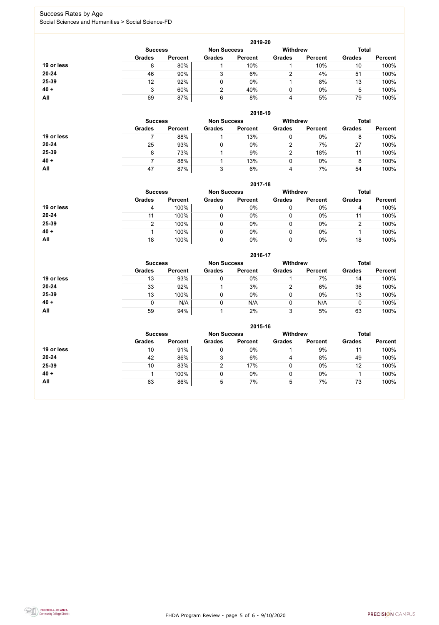FHDA Program Review - page 5 of 6 - 9/10/2020



### Success Rates by Age Social Sciences and Humanities > Social Science-FD

|            | 2019-20        |                    |               |                 |               |                |               |                |  |
|------------|----------------|--------------------|---------------|-----------------|---------------|----------------|---------------|----------------|--|
|            | <b>Success</b> | <b>Non Success</b> |               | <b>Withdrew</b> |               | <b>Total</b>   |               |                |  |
|            | <b>Grades</b>  | <b>Percent</b>     | <b>Grades</b> | <b>Percent</b>  | <b>Grades</b> | <b>Percent</b> | <b>Grades</b> | <b>Percent</b> |  |
| 19 or less | 8              | 80%                |               | 10%             |               | 10%            | 10            | 100%           |  |
| $20 - 24$  | 46             | 90%                | 3             | 6%              |               | 4%             | 51            | 100%           |  |
| 25-39      | 12             | 92%                |               | $0\%$           |               | 8%             | 13            | 100%           |  |
| $40 +$     | J              | 60%                | 2             | 40%             | 0             | $0\%$          | 5             | 100%           |  |
| All        | 69             | 87%                | 6             | 8%              | 4             | 5%             | 79            | 100%           |  |

**2018-19**

|            | <b>Success</b> |                | <b>Non Success</b> |                | <b>Withdrew</b> |                | <b>Total</b>  |                |
|------------|----------------|----------------|--------------------|----------------|-----------------|----------------|---------------|----------------|
|            | <b>Grades</b>  | <b>Percent</b> | <b>Grades</b>      | <b>Percent</b> | <b>Grades</b>   | <b>Percent</b> | <b>Grades</b> | <b>Percent</b> |
| 19 or less |                | 88%            |                    | 13%            |                 | 0%             | 8             | 100%           |
| $20 - 24$  | 25             | 93%            |                    | $0\%$          | ⌒               | 7%             | 27            | 100%           |
| 25-39      |                | 73%            |                    | 9%             |                 | 18%            |               | 100%           |
| $40 +$     |                | 88%            |                    | 13%            |                 | 0%             | 8             | 100%           |
| All        | 47             | 87%            |                    | 6%             | 4               | 7%             | 54            | 100%           |

#### **2017-18**

|            |                |                |                    | ZU17-18        |                 |                |               |                |
|------------|----------------|----------------|--------------------|----------------|-----------------|----------------|---------------|----------------|
|            | <b>Success</b> |                | <b>Non Success</b> |                | <b>Withdrew</b> |                | <b>Total</b>  |                |
|            | <b>Grades</b>  | <b>Percent</b> | <b>Grades</b>      | <b>Percent</b> | <b>Grades</b>   | <b>Percent</b> | <b>Grades</b> | <b>Percent</b> |
| 19 or less | 4              | 100%           |                    | 0%             |                 | $0\%$          | 4             | 100%           |
| $20 - 24$  |                | 100%           |                    | 0%             |                 | $0\%$          | 11            | 100%           |
| 25-39      |                | 100%           |                    | 0%             |                 | $0\%$          | ◠             | 100%           |
| $40 +$     |                | 100%           |                    | 0%             |                 | $0\%$          |               | 100%           |
| All        | 18             | 100%           |                    | 0%             |                 | 0%             | 18            | 100%           |

#### **2016-17**



|            |                |                |                    | ZU10-17        |               |                |               |                |
|------------|----------------|----------------|--------------------|----------------|---------------|----------------|---------------|----------------|
|            | <b>Success</b> |                | <b>Non Success</b> |                | Withdrew      |                | <b>Total</b>  |                |
|            | <b>Grades</b>  | <b>Percent</b> | <b>Grades</b>      | <b>Percent</b> | <b>Grades</b> | <b>Percent</b> | <b>Grades</b> | <b>Percent</b> |
| 19 or less | 13             | 93%            |                    | 0%             |               | 7%             | 14            | 100%           |
| 20-24      | 33             | 92%            |                    | 3%             |               | 6%             | 36            | 100%           |
| 25-39      | 13             | 100%           |                    | 0%             | 0             | $0\%$          | 13            | 100%           |
| $40 +$     |                | N/A            |                    | N/A            | 0             | N/A            |               | 100%           |
| All        | 59             | 94%            |                    | 2%             | ◠<br>৩        | 5%             | 63            | 100%           |

|            |                                      |                |               | 2015-16        |                 |                |               |                |
|------------|--------------------------------------|----------------|---------------|----------------|-----------------|----------------|---------------|----------------|
|            | <b>Non Success</b><br><b>Success</b> |                |               |                | <b>Withdrew</b> |                | <b>Total</b>  |                |
|            | <b>Grades</b>                        | <b>Percent</b> | <b>Grades</b> | <b>Percent</b> | <b>Grades</b>   | <b>Percent</b> | <b>Grades</b> | <b>Percent</b> |
| 19 or less | 10                                   | 91%            | ν             | 0%             |                 | 9%             | 11            | 100%           |
| $20 - 24$  | 42                                   | 86%            | ົ<br>د        | 6%             | 4               | 8%             | 49            | 100%           |
| 25-39      | 10                                   | 83%            |               | 17%            |                 | 0%             | 12            | 100%           |
| $40 +$     |                                      | 100%           | υ             | 0%             |                 | $0\%$          |               | 100%           |
| All        | 63                                   | 86%            | 5             | 7%             | 5               | 7%             | 73            | 100%           |